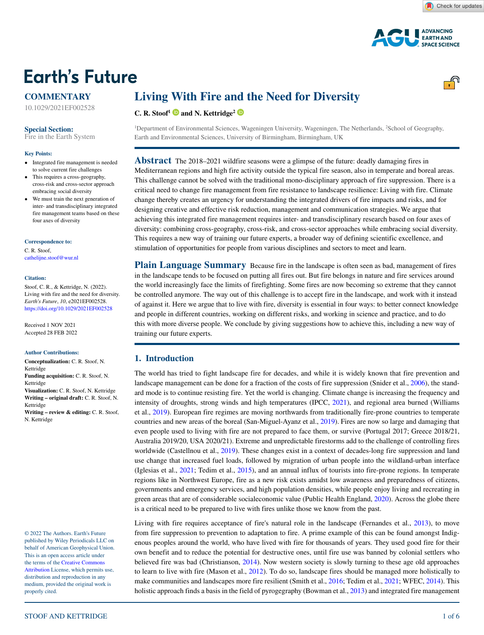

# **Earth's Future**

# **COMMENTARY**

10.1029/2021EF002528

# **Special Section:**

[Fire in the Earth System](http://agupubs.onlinelibrary.wiley.com/doi/toc/10.1002/(ISSN)2169-9011.FIREEARSYS)

#### **Key Points:**

- Integrated fire management is needed to solve current fire challenges
- This requires a cross-geography, cross-risk and cross-sector approach embracing social diversity
- We must train the next generation of inter- and transdisciplinary integrated fire management teams based on these four axes of diversity

#### **Correspondence to:**

C. R. Stoof, cathelijne.stoof@wur.nl

#### **Citation:**

Stoof, C. R., & Kettridge, N. (2022). Living with fire and the need for diversity. *Earth's Future*, *10*, e2021EF002528. <https://doi.org/10.1029/2021EF002528>

Received 1 NOV 2021 Accepted 28 FEB 2022

#### **Author Contributions:**

**Conceptualization:** C. R. Stoof, N. Kettridge **Funding acquisition:** C. R. Stoof, N. Kettridge **Visualization:** C. R. Stoof, N. Kettridge **Writing – original draft:** C. R. Stoof, N. Kettridge **Writing – review & editing:** C. R. Stoof,

N. Kettridge

© 2022 The Authors. Earth's Future published by Wiley Periodicals LLC on behalf of American Geophysical Union. This is an open access article under the terms of the [Creative Commons](http://creativecommons.org/licenses/by/4.0/)  [Attribution](http://creativecommons.org/licenses/by/4.0/) License, which permits use, distribution and reproduction in any medium, provided the original work is properly cited.

# **Living With Fire and the Need for Diversity**

**C. R. Stoof<sup>1</sup> D** [a](https://orcid.org/0000-0002-0198-9215)nd N. Kettridge<sup>[2](https://orcid.org/0000-0003-3995-0305)</sup> **D** 

1 Department of Environmental Sciences, Wageningen University, Wageningen, The Netherlands, 2 School of Geography, Earth and Environmental Sciences, University of Birmingham, Birmingham, UK

**Abstract** The 2018–2021 wildfire seasons were a glimpse of the future: deadly damaging fires in Mediterranean regions and high fire activity outside the typical fire season, also in temperate and boreal areas. This challenge cannot be solved with the traditional mono-disciplinary approach of fire suppression. There is a critical need to change fire management from fire resistance to landscape resilience: Living with fire. Climate change thereby creates an urgency for understanding the integrated drivers of fire impacts and risks, and for designing creative and effective risk reduction, management and communication strategies. We argue that achieving this integrated fire management requires inter- and transdisciplinary research based on four axes of diversity: combining cross-geography, cross-risk, and cross-sector approaches while embracing social diversity. This requires a new way of training our future experts, a broader way of defining scientific excellence, and stimulation of opportunities for people from various disciplines and sectors to meet and learn.

**Plain Language Summary** Because fire in the landscape is often seen as bad, management of fires in the landscape tends to be focused on putting all fires out. But fire belongs in nature and fire services around the world increasingly face the limits of firefighting. Some fires are now becoming so extreme that they cannot be controlled anymore. The way out of this challenge is to accept fire in the landscape, and work with it instead of against it. Here we argue that to live with fire, diversity is essential in four ways: to better connect knowledge and people in different countries, working on different risks, and working in science and practice, and to do this with more diverse people. We conclude by giving suggestions how to achieve this, including a new way of training our future experts.

# **1. Introduction**

The world has tried to fight landscape fire for decades, and while it is widely known that fire prevention and landscape management can be done for a fraction of the costs of fire suppression (Snider et al., [2006\)](#page-5-0), the standard mode is to continue resisting fire. Yet the world is changing. Climate change is increasing the frequency and intensity of droughts, strong winds and high temperatures (IPCC, [2021\)](#page-4-0), and regional area burned (Williams et al., [2019\)](#page-5-1). European fire regimes are moving northwards from traditionally fire-prone countries to temperate countries and new areas of the boreal (San-Miguel-Ayanz et al., [2019\)](#page-5-2). Fires are now so large and damaging that even people used to living with fire are not prepared to face them, or survive (Portugal 2017; Greece 2018/21, Australia 2019/20, USA 2020/21). Extreme and unpredictable firestorms add to the challenge of controlling fires worldwide (Castellnou et al., [2019](#page-4-1)). These changes exist in a context of decades-long fire suppression and land use change that increased fuel loads, followed by migration of urban people into the wildland-urban interface (Iglesias et al., [2021](#page-4-2); Tedim et al., [2015\)](#page-5-3), and an annual influx of tourists into fire-prone regions. In temperate regions like in Northwest Europe, fire as a new risk exists amidst low awareness and preparedness of citizens, governments and emergency services, and high population densities, while people enjoy living and recreating in green areas that are of considerable socialeconomic value (Public Health England, [2020\)](#page-5-4). Across the globe there is a critical need to be prepared to live with fires unlike those we know from the past.

Living with fire requires acceptance of fire's natural role in the landscape (Fernandes et al., [2013](#page-4-3)), to move from fire suppression to prevention to adaptation to fire. A prime example of this can be found amongst Indigenous peoples around the world, who have lived with fire for thousands of years. They used good fire for their own benefit and to reduce the potential for destructive ones, until fire use was banned by colonial settlers who believed fire was bad (Christianson, [2014](#page-4-4)). Now western society is slowly turning to these age old approaches to learn to live with fire (Mason et al., [2012\)](#page-5-5). To do so, landscape fires should be managed more holistically to make communities and landscapes more fire resilient (Smith et al., [2016;](#page-5-6) Tedim et al., [2021](#page-5-7); WFEC, [2014](#page-5-8)). This holistic approach finds a basis in the field of pyrogegraphy (Bowman et al., [2013\)](#page-4-5) and integrated fire management

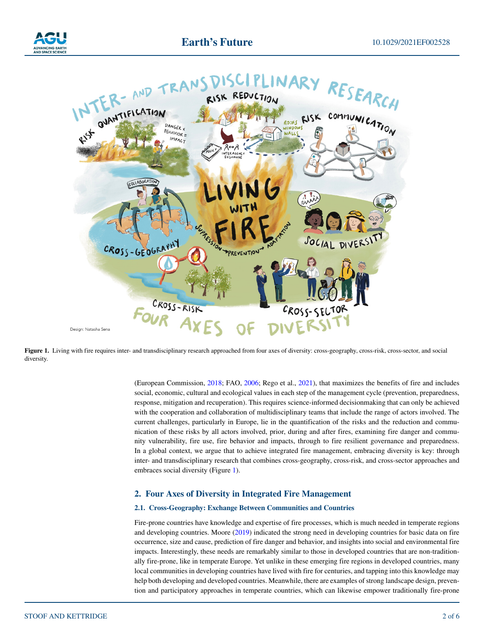



<span id="page-1-0"></span>**Figure 1.** Living with fire requires inter- and transdisciplinary research approached from four axes of diversity: cross-geography, cross-risk, cross-sector, and social diversity.

> (European Commission, [2018;](#page-4-6) FAO, [2006](#page-4-7); Rego et al., [2021\)](#page-5-9), that maximizes the benefits of fire and includes social, economic, cultural and ecological values in each step of the management cycle (prevention, preparedness, response, mitigation and recuperation). This requires science-informed decisionmaking that can only be achieved with the cooperation and collaboration of multidisciplinary teams that include the range of actors involved. The current challenges, particularly in Europe, lie in the quantification of the risks and the reduction and communication of these risks by all actors involved, prior, during and after fires, examining fire danger and community vulnerability, fire use, fire behavior and impacts, through to fire resilient governance and preparedness. In a global context, we argue that to achieve integrated fire management, embracing diversity is key: through inter- and transdisciplinary research that combines cross-geography, cross-risk, and cross-sector approaches and embraces social diversity (Figure [1](#page-1-0)).

# **2. Four Axes of Diversity in Integrated Fire Management**

#### **2.1. Cross-Geography: Exchange Between Communities and Countries**

Fire-prone countries have knowledge and expertise of fire processes, which is much needed in temperate regions and developing countries. Moore ([2019\)](#page-5-10) indicated the strong need in developing countries for basic data on fire occurrence, size and cause, prediction of fire danger and behavior, and insights into social and environmental fire impacts. Interestingly, these needs are remarkably similar to those in developed countries that are non-traditionally fire-prone, like in temperate Europe. Yet unlike in these emerging fire regions in developed countries, many local communities in developing countries have lived with fire for centuries, and tapping into this knowledge may help both developing and developed countries. Meanwhile, there are examples of strong landscape design, prevention and participatory approaches in temperate countries, which can likewise empower traditionally fire-prone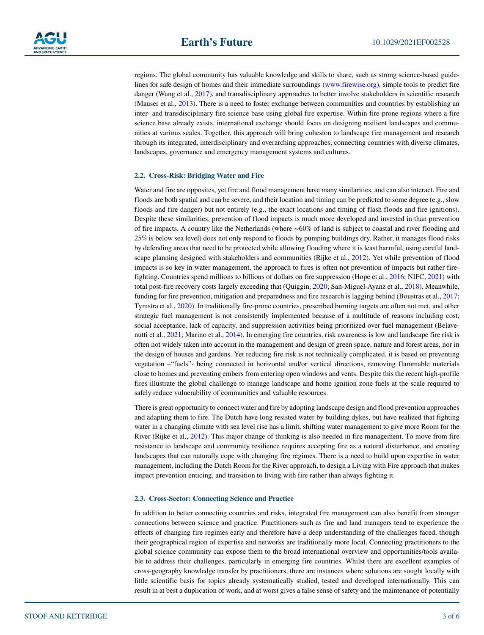regions. The global community has valuable knowledge and skills to share, such as strong science-based guidelines for safe design of homes and their immediate surroundings ([www.firewise.org\)](http://www.firewise.org), simple tools to predict fire danger (Wang et al., [2017](#page-5-11)), and transdisciplinary approaches to better involve stakeholders in scientific research (Mauser et al., [2013\)](#page-5-12). There is a need to foster exchange between communities and countries by establishing an inter- and transdisciplinary fire science base using global fire expertise. Within fire-prone regions where a fire science base already exists, international exchange should focus on designing resilient landscapes and communities at various scales. Together, this approach will bring cohesion to landscape fire management and research through its integrated, interdisciplinary and overarching approaches, connecting countries with diverse climates, landscapes, governance and emergency management systems and cultures.

#### **2.2. Cross-Risk: Bridging Water and Fire**

Water and fire are opposites, yet fire and flood management have many similarities, and can also interact. Fire and floods are both spatial and can be severe, and their location and timing can be predicted to some degree (e.g., slow floods and fire danger) but not entirely (e.g., the exact locations and timing of flash floods and fire ignitions). Despite these similarities, prevention of flood impacts is much more developed and invested in than prevention of fire impacts. A country like the Netherlands (where ∼60% of land is subject to coastal and river flooding and 25% is below sea level) does not only respond to floods by pumping buildings dry. Rather, it manages flood risks by defending areas that need to be protected while allowing flooding where it is least harmful, using careful landscape planning designed with stakeholders and communities (Rijke et al., [2012\)](#page-5-13). Yet while prevention of flood impacts is so key in water management, the approach to fires is often not prevention of impacts but rather firefighting. Countries spend millions to billions of dollars on fire suppression (Hope et al., [2016;](#page-4-8) NIFC, [2021](#page-5-14)) with total post-fire recovery costs largely exceeding that (Quiggin, [2020](#page-5-15); San-Miguel-Ayanz et al., [2018\)](#page-5-16). Meanwhile, funding for fire prevention, mitigation and preparedness and fire research is lagging behind (Boustras et al., [2017;](#page-4-9) Tymstra et al., [2020](#page-5-17)). In traditionally fire-prone countries, prescribed burning targets are often not met, and other strategic fuel management is not consistently implemented because of a multitude of reasons including cost, social acceptance, lack of capacity, and suppression activities being prioritized over fuel management (Belavenutti et al., [2021](#page-4-10); Marino et al., [2014](#page-4-11)). In emerging fire countries, risk awareness is low and landscape fire risk is often not widely taken into account in the management and design of green space, nature and forest areas, nor in the design of houses and gardens. Yet reducing fire risk is not technically complicated, it is based on preventing vegetation –"fuels"- being connected in horizontal and/or vertical directions, removing flammable materials close to homes and preventing embers from entering open windows and vents. Despite this the recent high-profile fires illustrate the global challenge to manage landscape and home ignition zone fuels at the scale required to safely reduce vulnerability of communities and valuable resources.

There is great opportunity to connect water and fire by adopting landscape design and flood prevention approaches and adapting them to fire. The Dutch have long resisted water by building dykes, but have realized that fighting water in a changing climate with sea level rise has a limit, shifting water management to give more Room for the River (Rijke et al., [2012](#page-5-13)). This major change of thinking is also needed in fire management. To move from fire resistance to landscape and community resilience requires accepting fire as a natural disturbance, and creating landscapes that can naturally cope with changing fire regimes. There is a need to build upon expertise in water management, including the Dutch Room for the River approach, to design a Living with Fire approach that makes impact prevention enticing, and transition to living with fire rather than always fighting it.

#### **2.3. Cross-Sector: Connecting Science and Practice**

In addition to better connecting countries and risks, integrated fire management can also benefit from stronger connections between science and practice. Practitioners such as fire and land managers tend to experience the effects of changing fire regimes early and therefore have a deep understanding of the challenges faced, though their geographical region of expertise and networks are traditionally more local. Connecting practitioners to the global science community can expose them to the broad international overview and opportunities/tools available to address their challenges, particularly in emerging fire countries. Whilst there are excellent examples of cross-geography knowledge transfer by practitioners, there are instances where solutions are sought locally with little scientific basis for topics already systematically studied, tested and developed internationally. This can result in at best a duplication of work, and at worst gives a false sense of safety and the maintenance of potentially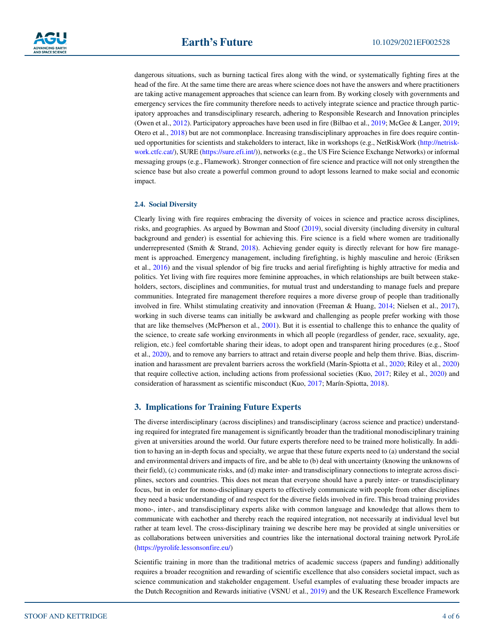

dangerous situations, such as burning tactical fires along with the wind, or systematically fighting fires at the head of the fire. At the same time there are areas where science does not have the answers and where practitioners are taking active management approaches that science can learn from. By working closely with governments and emergency services the fire community therefore needs to actively integrate science and practice through participatory approaches and transdisciplinary research, adhering to Responsible Research and Innovation principles (Owen et al., [2012\)](#page-5-18). Participatory approaches have been used in fire (Bilbao et al., [2019;](#page-4-12) McGee & Langer, [2019;](#page-5-19) Otero et al., [2018](#page-5-20)) but are not commonplace. Increasing transdisciplinary approaches in fire does require continued opportunities for scientists and stakeholders to interact, like in workshops (e.g., NetRiskWork ([http://netrisk](http://netriskwork.ctfc.cat/)[work.ctfc.cat/](http://netriskwork.ctfc.cat/)), SURE [\(https://sure.efi.int/](https://sure.efi.int/))), networks (e.g., the US Fire Science Exchange Networks) or informal messaging groups (e.g., Flamework). Stronger connection of fire science and practice will not only strengthen the science base but also create a powerful common ground to adopt lessons learned to make social and economic impact.

#### **2.4. Social Diversity**

Clearly living with fire requires embracing the diversity of voices in science and practice across disciplines, risks, and geographies. As argued by Bowman and Stoof ([2019\)](#page-4-13), social diversity (including diversity in cultural background and gender) is essential for achieving this. Fire science is a field where women are traditionally underrepresented (Smith & Strand, [2018\)](#page-5-21). Achieving gender equity is directly relevant for how fire management is approached. Emergency management, including firefighting, is highly masculine and heroic (Eriksen et al., [2016\)](#page-4-14) and the visual splendor of big fire trucks and aerial firefighting is highly attractive for media and politics. Yet living with fire requires more feminine approaches, in which relationships are built between stakeholders, sectors, disciplines and communities, for mutual trust and understanding to manage fuels and prepare communities. Integrated fire management therefore requires a more diverse group of people than traditionally involved in fire. Whilst stimulating creativity and innovation (Freeman & Huang, [2014;](#page-4-15) Nielsen et al., [2017](#page-5-22)), working in such diverse teams can initially be awkward and challenging as people prefer working with those that are like themselves (McPherson et al., [2001](#page-5-23)). But it is essential to challenge this to enhance the quality of the science, to create safe working environments in which all people (regardless of gender, race, sexuality, age, religion, etc.) feel comfortable sharing their ideas, to adopt open and transparent hiring procedures (e.g., Stoof et al., [2020](#page-5-24)), and to remove any barriers to attract and retain diverse people and help them thrive. Bias, discrimination and harassment are prevalent barriers across the workfield (Marín-Spiotta et al., [2020](#page-4-16); Riley et al., [2020](#page-5-25)) that require collective action, including actions from professional societies (Kuo, [2017](#page-4-17); Riley et al., [2020\)](#page-5-25) and consideration of harassment as scientific misconduct (Kuo, [2017;](#page-4-17) Marín-Spiotta, [2018\)](#page-4-18).

#### **3. Implications for Training Future Experts**

The diverse interdisciplinary (across disciplines) and transdisciplinary (across science and practice) understanding required for integrated fire management is significantly broader than the traditional monodisciplinary training given at universities around the world. Our future experts therefore need to be trained more holistically. In addition to having an in-depth focus and specialty, we argue that these future experts need to (a) understand the social and environmental drivers and impacts of fire, and be able to (b) deal with uncertainty (knowing the unknowns of their field), (c) communicate risks, and (d) make inter- and transdisciplinary connections to integrate across disciplines, sectors and countries. This does not mean that everyone should have a purely inter- or transdisciplinary focus, but in order for mono-disciplinary experts to effectively communicate with people from other disciplines they need a basic understanding of and respect for the diverse fields involved in fire. This broad training provides mono-, inter-, and transdisciplinary experts alike with common language and knowledge that allows them to communicate with eachother and thereby reach the required integration, not necessarily at individual level but rather at team level. The cross-disciplinary training we describe here may be provided at single universities or as collaborations between universities and countries like the international doctoral training network PyroLife (<https://pyrolife.lessonsonfire.eu/>)

Scientific training in more than the traditional metrics of academic success (papers and funding) additionally requires a broader recognition and rewarding of scientific excellence that also considers societal impact, such as science communication and stakeholder engagement. Useful examples of evaluating these broader impacts are the Dutch Recognition and Rewards initiative (VSNU et al., [2019](#page-5-26)) and the UK Research Excellence Framework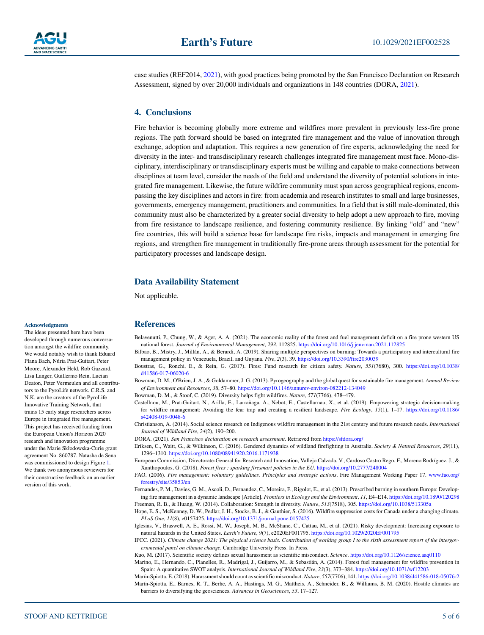

case studies (REF2014, [2021\)](#page-5-27), with good practices being promoted by the San Francisco Declaration on Research Assessment, signed by over 20,000 individuals and organizations in 148 countries (DORA, [2021](#page-4-19)).

#### **4. Conclusions**

Fire behavior is becoming globally more extreme and wildfires more prevalent in previously less-fire prone regions. The path forward should be based on integrated fire management and the value of innovation through exchange, adoption and adaptation. This requires a new generation of fire experts, acknowledging the need for diversity in the inter- and transdisciplinary research challenges integrated fire management must face. Mono-disciplinary, interdisciplinary or transdisciplinary experts must be willing and capable to make connections between disciplines at team level, consider the needs of the field and understand the diversity of potential solutions in integrated fire management. Likewise, the future wildfire community must span across geographical regions, encompassing the key disciplines and actors in fire: from academia and research institutes to small and large businesses, governments, emergency management, practitioners and communities. In a field that is still male-dominated, this community must also be characterized by a greater social diversity to help adopt a new approach to fire, moving from fire resistance to landscape resilience, and fostering community resilience. By linking "old" and "new" fire countries, this will build a science base for landscape fire risks, impacts and management in emerging fire regions, and strengthen fire management in traditionally fire-prone areas through assessment for the potential for participatory processes and landscape design.

### **Data Availability Statement**

Not applicable.

#### **Acknowledgments**

The ideas presented here have been developed through numerous conversation amongst the wildfire community. We would notably wish to thank Eduard Plana Bach, Núria Prat-Guitart, Peter Moore, Alexander Held, Rob Gazzard, Lisa Langer, Guillermo Rein, Lucian Deaton, Peter Vermeulen and all contributors to the PyroLife network. C.R.S. and N.K. are the creators of the PyroLife Innovative Training Network, that trains 15 early stage researchers across Europe in integrated fire management. This project has received funding from the European Union's Horizon 2020 research and innovation programme under the Marie Skłodowska-Curie grant agreement No. 860787. Natasha de Sena was commissioned to design Figure [1.](#page-1-0) We thank two anonymous reviewers for their constructive feedback on an earlier version of this work.

## **References**

- <span id="page-4-10"></span>Belavenutti, P., Chung, W., & Ager, A. A. (2021). The economic reality of the forest and fuel management deficit on a fire prone western US national forest. *Journal of Environmental Management*, *293*, 112825. <https://doi.org/10.1016/j.jenvman.2021.112825>
- <span id="page-4-12"></span>Bilbao, B., Mistry, J., Millán, A., & Berardi, A. (2019). Sharing multiple perspectives on burning: Towards a participatory and intercultural fire management policy in Venezuela, Brazil, and Guyana. *Fire*, *2*(3), 39. <https://doi.org/10.3390/fire2030039>
- <span id="page-4-9"></span>Boustras, G., Ronchi, E., & Rein, G. (2017). Fires: Fund research for citizen safety. *Nature*, *551*(7680), 300. [https://doi.org/10.1038/](https://doi.org/10.1038/d41586-017-06020-6) [d41586-017-06020-6](https://doi.org/10.1038/d41586-017-06020-6)
- <span id="page-4-5"></span>Bowman, D. M., O'Brien, J. A., & Goldammer, J. G. (2013). Pyrogeography and the global quest for sustainable fire management. *Annual Review of Environment and Resources*, *38*, 57–80. <https://doi.org/10.1146/annurev-environ-082212-134049>

<span id="page-4-13"></span>Bowman, D. M., & Stoof, C. (2019). Diversity helps fight wildfires. *Nature*, *571*(7766), 478–479.

- <span id="page-4-1"></span>Castellnou, M., Prat-Guitart, N., Arilla, E., Larrañaga, A., Nebot, E., Castellarnau, X., et al. (2019). Empowering strategic decision-making for wildfire management: Avoiding the fear trap and creating a resilient landscape. *Fire Ecology*, *15*(1), 1–17. [https://doi.org/10.1186/](https://doi.org/10.1186/s42408-019-0048-6) [s42408-019-0048-6](https://doi.org/10.1186/s42408-019-0048-6)
- <span id="page-4-4"></span>Christianson, A. (2014). Social science research on Indigenous wildfire management in the 21st century and future research needs. *International Journal of Wildland Fire*, *24*(2), 190–200.
- <span id="page-4-19"></span>DORA. (2021). *San Francisco declaration on research assessment*. Retrieved from<https://sfdora.org/>
- <span id="page-4-14"></span>Eriksen, C., Waitt, G., & Wilkinson, C. (2016). Gendered dynamics of wildland firefighting in Australia. *Society & Natural Resources*, *29*(11), 1296–1310. <https://doi.org/10.1080/08941920.2016.1171938>
- <span id="page-4-6"></span>European Commission, Directorate-General for Research and Innovation, Vallejo Calzada, V., Cardoso Castro Rego, F., Moreno Rodríguez, J., & Xanthopoulos, G. (2018). *Forest fires : sparking firesmart policies in the EU*.<https://doi.org/10.2777/248004>
- <span id="page-4-7"></span>FAO. (2006). *Fire management: voluntary guidelines. Principles and strategic actions*. Fire Management Working Paper 17. [www.fao.org/](https://www.fao.org/forestry/site/35853/en) [forestry/site/35853/en](https://www.fao.org/forestry/site/35853/en)
- <span id="page-4-3"></span>Fernandes, P. M., Davies, G. M., Ascoli, D., Fernandez, C., Moreira, F., Rigolot, E., et al. (2013). Prescribed burning in southern Europe: Developing fire management in a dynamic landscape [Article]. *Frontiers in Ecology and the Environment*, *11*, E4–E14.<https://doi.org/10.1890/120298> Freeman, R. B., & Huang, W. (2014). Collaboration: Strength in diversity. *Nature*, *513*(7518), 305. <https://doi.org/10.1038/513305a>

<span id="page-4-15"></span><span id="page-4-8"></span>Hope, E. S., McKenney, D. W., Pedlar, J. H., Stocks, B. J., & Gauthier, S. (2016). Wildfire suppression costs for Canada under a changing climate. *PLoS One*, *11*(8), e0157425. <https://doi.org/10.1371/journal.pone.0157425>

- <span id="page-4-2"></span>Iglesias, V., Braswell, A. E., Rossi, M. W., Joseph, M. B., McShane, C., Cattau, M., et al. (2021). Risky development: Increasing exposure to natural hazards in the United States. *Earth's Future*, *9*(7), e2020EF001795. <https://doi.org/10.1029/2020EF001795>
- <span id="page-4-0"></span>IPCC. (2021). *Climate change 2021: The physical science basis. Contribution of working group I to the sixth assessment report of the intergovernmental panel on climate change*. Cambridge University Press. In Press.
- <span id="page-4-17"></span><span id="page-4-11"></span>Kuo, M. (2017). Scientific society defines sexual harassment as scientific misconduct. *Science*.<https://doi.org/10.1126/science.aaq0110> Marino, E., Hernando, C., Planelles, R., Madrigal, J., Guijarro, M., & Sebastián, A. (2014). Forest fuel management for wildfire prevention in

<span id="page-4-18"></span>Spain: A quantitative SWOT analysis. *International Journal of Wildland Fire*, *23*(3), 373–384. <https://doi.org/10.1071/wf12203> Marín-Spiotta, E. (2018). Harassment should count as scientific misconduct. *Nature*, *557*(7706), 141.<https://doi.org/10.1038/d41586-018-05076-2>

<span id="page-4-16"></span>Marín-Spiotta, E., Barnes, R. T., Berhe, A. A., Hastings, M. G., Mattheis, A., Schneider, B., & Williams, B. M. (2020). Hostile climates are barriers to diversifying the geosciences. *Advances in Geosciences*, *53*, 17–127.